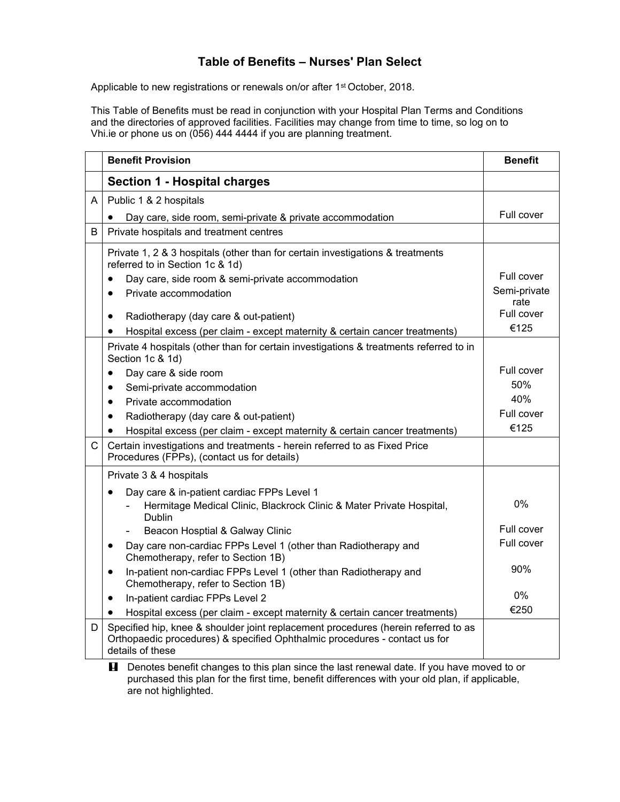## **Table of Benefits – Nurses' Plan Select**

Applicable to new registrations or renewals on/or after 1<sup>st</sup> October, 2018.

This Table of Benefits must be read in conjunction with your Hospital Plan Terms and Conditions and the directories of approved facilities. Facilities may change from time to time, so log on to Vhi.ie or phone us on (056) 444 4444 if you are planning treatment.

|              | <b>Benefit Provision</b>                                                                                                                                                             | <b>Benefit</b>     |
|--------------|--------------------------------------------------------------------------------------------------------------------------------------------------------------------------------------|--------------------|
|              | <b>Section 1 - Hospital charges</b>                                                                                                                                                  |                    |
| A            | Public 1 & 2 hospitals                                                                                                                                                               |                    |
|              | Day care, side room, semi-private & private accommodation                                                                                                                            | Full cover         |
| B            | Private hospitals and treatment centres                                                                                                                                              |                    |
|              | Private 1, 2 & 3 hospitals (other than for certain investigations & treatments<br>referred to in Section 1c & 1d)                                                                    |                    |
|              | Day care, side room & semi-private accommodation<br>$\bullet$                                                                                                                        | Full cover         |
|              | Private accommodation<br>$\bullet$                                                                                                                                                   | Semi-private       |
|              | Radiotherapy (day care & out-patient)<br>$\bullet$                                                                                                                                   | rate<br>Full cover |
|              | Hospital excess (per claim - except maternity & certain cancer treatments)<br>$\bullet$                                                                                              | €125               |
|              | Private 4 hospitals (other than for certain investigations & treatments referred to in                                                                                               |                    |
|              | Section 1c & 1d)                                                                                                                                                                     |                    |
|              | Day care & side room<br>$\bullet$                                                                                                                                                    | Full cover         |
|              | Semi-private accommodation<br>$\bullet$                                                                                                                                              | 50%                |
|              | Private accommodation<br>$\bullet$                                                                                                                                                   | 40%                |
|              | Radiotherapy (day care & out-patient)<br>$\bullet$                                                                                                                                   | Full cover         |
|              | Hospital excess (per claim - except maternity & certain cancer treatments)<br>$\bullet$                                                                                              | €125               |
| $\mathsf{C}$ | Certain investigations and treatments - herein referred to as Fixed Price<br>Procedures (FPPs), (contact us for details)                                                             |                    |
|              | Private 3 & 4 hospitals                                                                                                                                                              |                    |
|              | Day care & in-patient cardiac FPPs Level 1                                                                                                                                           |                    |
|              | Hermitage Medical Clinic, Blackrock Clinic & Mater Private Hospital,<br>Dublin                                                                                                       | $0\%$              |
|              | Beacon Hosptial & Galway Clinic                                                                                                                                                      | Full cover         |
|              | Day care non-cardiac FPPs Level 1 (other than Radiotherapy and<br>$\bullet$<br>Chemotherapy, refer to Section 1B)                                                                    | Full cover         |
|              | In-patient non-cardiac FPPs Level 1 (other than Radiotherapy and<br>$\bullet$<br>Chemotherapy, refer to Section 1B)                                                                  | 90%                |
|              | In-patient cardiac FPPs Level 2<br>$\bullet$                                                                                                                                         | $0\%$              |
|              | Hospital excess (per claim - except maternity & certain cancer treatments)                                                                                                           | €250               |
| D            | Specified hip, knee & shoulder joint replacement procedures (herein referred to as<br>Orthopaedic procedures) & specified Ophthalmic procedures - contact us for<br>details of these |                    |

**E** Denotes benefit changes to this plan since the last renewal date. If you have moved to or purchased this plan for the first time, benefit differences with your old plan, if applicable, are not highlighted.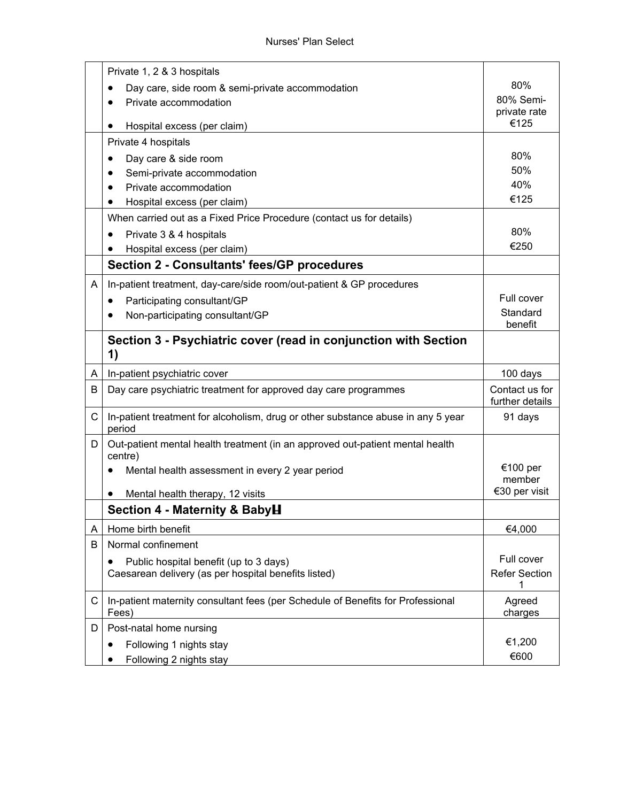|   | Private 1, 2 & 3 hospitals                                                                     |                                   |
|---|------------------------------------------------------------------------------------------------|-----------------------------------|
|   | Day care, side room & semi-private accommodation                                               | 80%                               |
|   | Private accommodation                                                                          | 80% Semi-                         |
|   |                                                                                                | private rate<br>€125              |
|   | Hospital excess (per claim)<br>$\bullet$                                                       |                                   |
|   | Private 4 hospitals                                                                            | 80%                               |
|   | Day care & side room                                                                           | 50%                               |
|   | Semi-private accommodation                                                                     | 40%                               |
|   | Private accommodation                                                                          | €125                              |
|   | Hospital excess (per claim)                                                                    |                                   |
|   | When carried out as a Fixed Price Procedure (contact us for details)                           | 80%                               |
|   | Private 3 & 4 hospitals                                                                        | €250                              |
|   | Hospital excess (per claim)                                                                    |                                   |
|   | <b>Section 2 - Consultants' fees/GP procedures</b>                                             |                                   |
| A | In-patient treatment, day-care/side room/out-patient & GP procedures                           |                                   |
|   | Participating consultant/GP<br>$\bullet$                                                       | Full cover                        |
|   | Non-participating consultant/GP                                                                | Standard                          |
|   |                                                                                                | benefit                           |
|   | Section 3 - Psychiatric cover (read in conjunction with Section                                |                                   |
|   | 1)                                                                                             |                                   |
|   |                                                                                                |                                   |
| A | In-patient psychiatric cover                                                                   | 100 days                          |
| B | Day care psychiatric treatment for approved day care programmes                                | Contact us for<br>further details |
| C | In-patient treatment for alcoholism, drug or other substance abuse in any 5 year<br>period     | 91 days                           |
| D | Out-patient mental health treatment (in an approved out-patient mental health                  |                                   |
|   | centre)                                                                                        | €100 per                          |
|   | Mental health assessment in every 2 year period                                                | member                            |
|   | Mental health therapy, 12 visits                                                               | €30 per visit                     |
|   | Section 4 - Maternity & BabyH                                                                  |                                   |
| Α | Home birth benefit                                                                             | €4,000                            |
| B | Normal confinement                                                                             |                                   |
|   | $\bullet$                                                                                      | Full cover                        |
|   | Public hospital benefit (up to 3 days)<br>Caesarean delivery (as per hospital benefits listed) | <b>Refer Section</b>              |
| C | In-patient maternity consultant fees (per Schedule of Benefits for Professional<br>Fees)       | Agreed<br>charges                 |
| D | Post-natal home nursing                                                                        |                                   |
|   | Following 1 nights stay<br>$\bullet$                                                           | €1,200                            |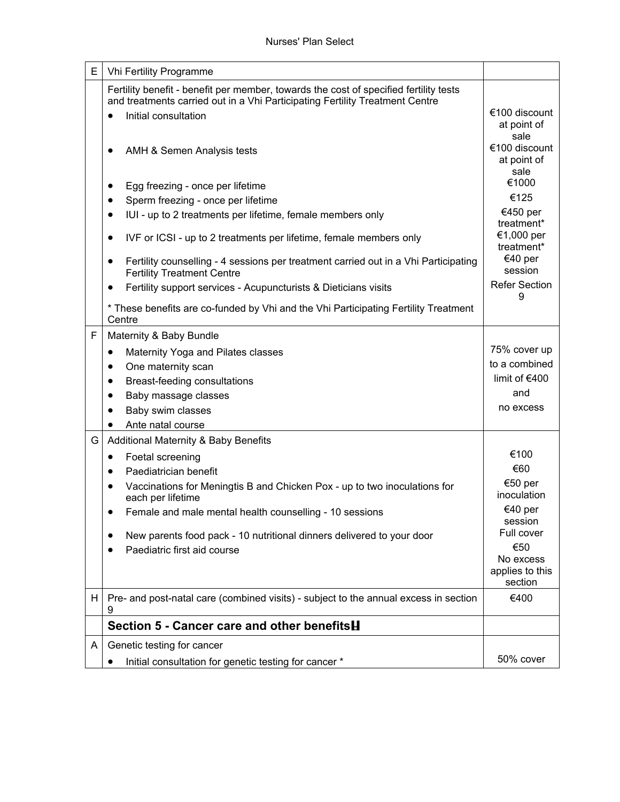| E | Vhi Fertility Programme                                                                                                                                                                                                                                                                                                                                                                                                                                                                                                                                                                                                                                          |                                                                                                                                                                           |
|---|------------------------------------------------------------------------------------------------------------------------------------------------------------------------------------------------------------------------------------------------------------------------------------------------------------------------------------------------------------------------------------------------------------------------------------------------------------------------------------------------------------------------------------------------------------------------------------------------------------------------------------------------------------------|---------------------------------------------------------------------------------------------------------------------------------------------------------------------------|
|   | Fertility benefit - benefit per member, towards the cost of specified fertility tests<br>and treatments carried out in a Vhi Participating Fertility Treatment Centre<br>Initial consultation<br>$\bullet$<br>AMH & Semen Analysis tests<br>$\bullet$<br>Egg freezing - once per lifetime<br>$\bullet$<br>Sperm freezing - once per lifetime<br>$\bullet$<br>IUI - up to 2 treatments per lifetime, female members only<br>$\bullet$<br>IVF or ICSI - up to 2 treatments per lifetime, female members only<br>$\bullet$<br>Fertility counselling - 4 sessions per treatment carried out in a Vhi Participating<br>$\bullet$<br><b>Fertility Treatment Centre</b> | €100 discount<br>at point of<br>sale<br>€100 discount<br>at point of<br>sale<br>€1000<br>€125<br>€450 per<br>treatment*<br>€1,000 per<br>treatment*<br>€40 per<br>session |
|   | Fertility support services - Acupuncturists & Dieticians visits<br>$\bullet$                                                                                                                                                                                                                                                                                                                                                                                                                                                                                                                                                                                     | <b>Refer Section</b><br>9                                                                                                                                                 |
|   | * These benefits are co-funded by Vhi and the Vhi Participating Fertility Treatment<br>Centre                                                                                                                                                                                                                                                                                                                                                                                                                                                                                                                                                                    |                                                                                                                                                                           |
| F | Maternity & Baby Bundle                                                                                                                                                                                                                                                                                                                                                                                                                                                                                                                                                                                                                                          |                                                                                                                                                                           |
|   | Maternity Yoga and Pilates classes<br>$\bullet$                                                                                                                                                                                                                                                                                                                                                                                                                                                                                                                                                                                                                  | 75% cover up                                                                                                                                                              |
|   | One maternity scan<br>$\bullet$                                                                                                                                                                                                                                                                                                                                                                                                                                                                                                                                                                                                                                  | to a combined                                                                                                                                                             |
|   | Breast-feeding consultations<br>$\bullet$                                                                                                                                                                                                                                                                                                                                                                                                                                                                                                                                                                                                                        | limit of €400                                                                                                                                                             |
|   | Baby massage classes                                                                                                                                                                                                                                                                                                                                                                                                                                                                                                                                                                                                                                             | and                                                                                                                                                                       |
|   | Baby swim classes                                                                                                                                                                                                                                                                                                                                                                                                                                                                                                                                                                                                                                                | no excess                                                                                                                                                                 |
|   | Ante natal course<br>$\bullet$                                                                                                                                                                                                                                                                                                                                                                                                                                                                                                                                                                                                                                   |                                                                                                                                                                           |
| G | <b>Additional Maternity &amp; Baby Benefits</b>                                                                                                                                                                                                                                                                                                                                                                                                                                                                                                                                                                                                                  |                                                                                                                                                                           |
|   | Foetal screening<br>$\bullet$                                                                                                                                                                                                                                                                                                                                                                                                                                                                                                                                                                                                                                    | €100                                                                                                                                                                      |
|   | Paediatrician benefit<br>$\bullet$                                                                                                                                                                                                                                                                                                                                                                                                                                                                                                                                                                                                                               | €60                                                                                                                                                                       |
|   | Vaccinations for Meningtis B and Chicken Pox - up to two inoculations for<br>$\bullet$<br>each per lifetime                                                                                                                                                                                                                                                                                                                                                                                                                                                                                                                                                      | €50 per<br>inoculation                                                                                                                                                    |
|   | Female and male mental health counselling - 10 sessions                                                                                                                                                                                                                                                                                                                                                                                                                                                                                                                                                                                                          | €40 per<br>session                                                                                                                                                        |
|   | New parents food pack - 10 nutritional dinners delivered to your door                                                                                                                                                                                                                                                                                                                                                                                                                                                                                                                                                                                            | Full cover                                                                                                                                                                |
|   | Paediatric first aid course                                                                                                                                                                                                                                                                                                                                                                                                                                                                                                                                                                                                                                      | €50                                                                                                                                                                       |
|   |                                                                                                                                                                                                                                                                                                                                                                                                                                                                                                                                                                                                                                                                  | No excess<br>applies to this<br>section                                                                                                                                   |
| H | Pre- and post-natal care (combined visits) - subject to the annual excess in section<br>9                                                                                                                                                                                                                                                                                                                                                                                                                                                                                                                                                                        | €400                                                                                                                                                                      |
|   | Section 5 - Cancer care and other benefits H                                                                                                                                                                                                                                                                                                                                                                                                                                                                                                                                                                                                                     |                                                                                                                                                                           |
| A | Genetic testing for cancer                                                                                                                                                                                                                                                                                                                                                                                                                                                                                                                                                                                                                                       |                                                                                                                                                                           |
|   | Initial consultation for genetic testing for cancer *<br>$\bullet$                                                                                                                                                                                                                                                                                                                                                                                                                                                                                                                                                                                               | 50% cover                                                                                                                                                                 |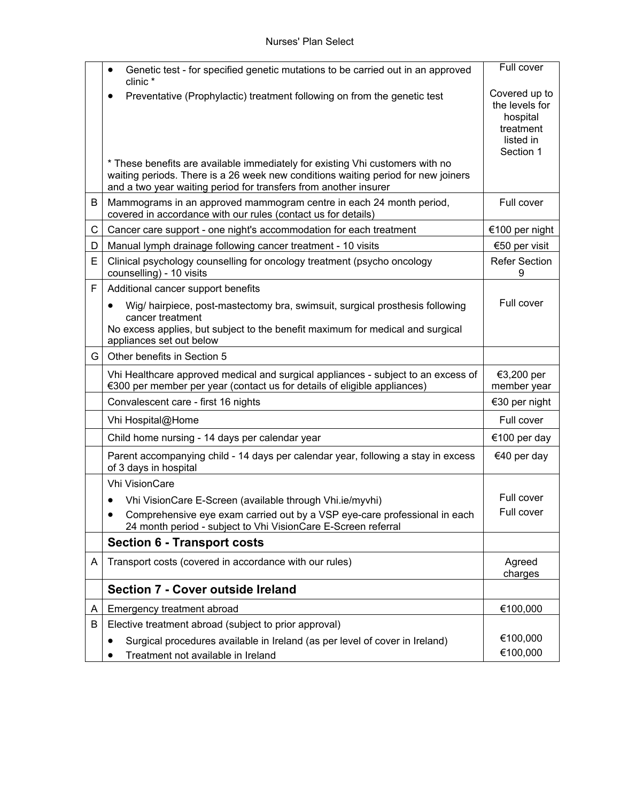|     | Genetic test - for specified genetic mutations to be carried out in an approved<br>clinic *                                                                                                                    | Full cover                                                                         |
|-----|----------------------------------------------------------------------------------------------------------------------------------------------------------------------------------------------------------------|------------------------------------------------------------------------------------|
|     | Preventative (Prophylactic) treatment following on from the genetic test<br>* These benefits are available immediately for existing Vhi customers with no                                                      | Covered up to<br>the levels for<br>hospital<br>treatment<br>listed in<br>Section 1 |
|     | waiting periods. There is a 26 week new conditions waiting period for new joiners<br>and a two year waiting period for transfers from another insurer                                                          |                                                                                    |
| B   | Mammograms in an approved mammogram centre in each 24 month period,<br>covered in accordance with our rules (contact us for details)                                                                           | Full cover                                                                         |
| C   | Cancer care support - one night's accommodation for each treatment                                                                                                                                             | €100 per night                                                                     |
| D   | Manual lymph drainage following cancer treatment - 10 visits                                                                                                                                                   | €50 per visit                                                                      |
| E   | Clinical psychology counselling for oncology treatment (psycho oncology<br>counselling) - 10 visits                                                                                                            | <b>Refer Section</b><br>9                                                          |
| F   | Additional cancer support benefits                                                                                                                                                                             |                                                                                    |
|     | Wig/ hairpiece, post-mastectomy bra, swimsuit, surgical prosthesis following<br>cancer treatment<br>No excess applies, but subject to the benefit maximum for medical and surgical<br>appliances set out below | Full cover                                                                         |
| G I | Other benefits in Section 5                                                                                                                                                                                    |                                                                                    |
|     | Vhi Healthcare approved medical and surgical appliances - subject to an excess of<br>€300 per member per year (contact us for details of eligible appliances)                                                  | €3,200 per<br>member year                                                          |
|     | Convalescent care - first 16 nights                                                                                                                                                                            | €30 per night                                                                      |
|     | Vhi Hospital@Home                                                                                                                                                                                              | Full cover                                                                         |
|     | Child home nursing - 14 days per calendar year                                                                                                                                                                 | €100 per day                                                                       |
|     | Parent accompanying child - 14 days per calendar year, following a stay in excess<br>of 3 days in hospital                                                                                                     | €40 per day                                                                        |
|     | <b>Vhi VisionCare</b>                                                                                                                                                                                          |                                                                                    |
|     | Vhi VisionCare E-Screen (available through Vhi.ie/myvhi)<br>٠                                                                                                                                                  | Full cover                                                                         |
|     | Comprehensive eye exam carried out by a VSP eye-care professional in each<br>24 month period - subject to Vhi VisionCare E-Screen referral                                                                     | Full cover                                                                         |
|     | <b>Section 6 - Transport costs</b>                                                                                                                                                                             |                                                                                    |
| A   | Transport costs (covered in accordance with our rules)                                                                                                                                                         | Agreed<br>charges                                                                  |
|     | Section 7 - Cover outside Ireland                                                                                                                                                                              |                                                                                    |
| A   | Emergency treatment abroad                                                                                                                                                                                     | €100,000                                                                           |
| B   | Elective treatment abroad (subject to prior approval)                                                                                                                                                          |                                                                                    |
|     | Surgical procedures available in Ireland (as per level of cover in Ireland)                                                                                                                                    | €100,000                                                                           |
|     | Treatment not available in Ireland                                                                                                                                                                             | €100,000                                                                           |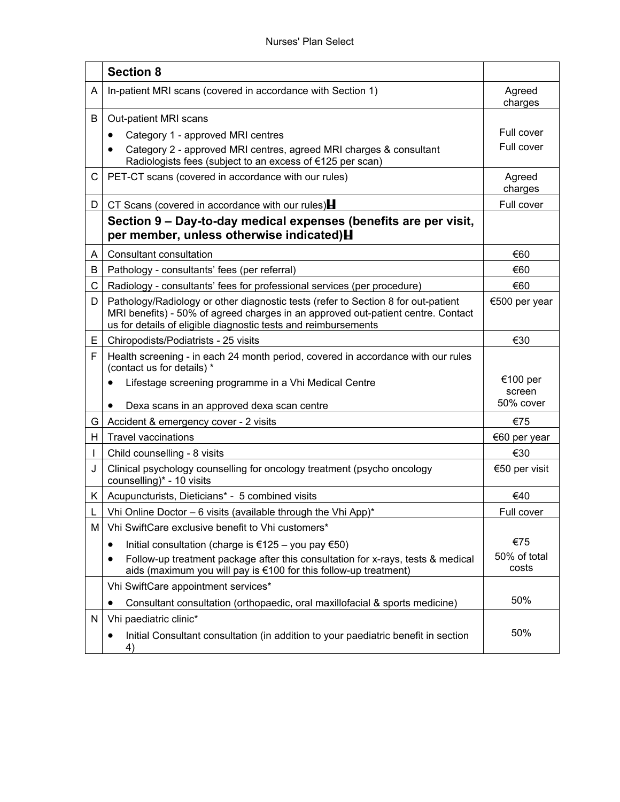|    | <b>Section 8</b>                                                                                                                                                                                                                        |                       |
|----|-----------------------------------------------------------------------------------------------------------------------------------------------------------------------------------------------------------------------------------------|-----------------------|
| A  | In-patient MRI scans (covered in accordance with Section 1)                                                                                                                                                                             | Agreed<br>charges     |
| B  | Out-patient MRI scans                                                                                                                                                                                                                   |                       |
|    | Category 1 - approved MRI centres                                                                                                                                                                                                       | Full cover            |
|    | Category 2 - approved MRI centres, agreed MRI charges & consultant<br>Radiologists fees (subject to an excess of €125 per scan)                                                                                                         | Full cover            |
| С  | PET-CT scans (covered in accordance with our rules)                                                                                                                                                                                     | Agreed<br>charges     |
| D  | CT Scans (covered in accordance with our rules) $\blacksquare$                                                                                                                                                                          | Full cover            |
|    | Section 9 – Day-to-day medical expenses (benefits are per visit,<br>per member, unless otherwise indicated) H                                                                                                                           |                       |
| A  | Consultant consultation                                                                                                                                                                                                                 | €60                   |
| B  | Pathology - consultants' fees (per referral)                                                                                                                                                                                            | €60                   |
| С  | Radiology - consultants' fees for professional services (per procedure)                                                                                                                                                                 | €60                   |
| D  | Pathology/Radiology or other diagnostic tests (refer to Section 8 for out-patient<br>MRI benefits) - 50% of agreed charges in an approved out-patient centre. Contact<br>us for details of eligible diagnostic tests and reimbursements | €500 per year         |
| E. | Chiropodists/Podiatrists - 25 visits                                                                                                                                                                                                    | €30                   |
| F  | Health screening - in each 24 month period, covered in accordance with our rules<br>(contact us for details) *                                                                                                                          |                       |
|    | Lifestage screening programme in a Vhi Medical Centre                                                                                                                                                                                   | €100 per<br>screen    |
|    | Dexa scans in an approved dexa scan centre                                                                                                                                                                                              | 50% cover             |
| G  | Accident & emergency cover - 2 visits                                                                                                                                                                                                   | €75                   |
| H. | <b>Travel vaccinations</b>                                                                                                                                                                                                              | €60 per year          |
|    | Child counselling - 8 visits                                                                                                                                                                                                            | €30                   |
| J  | Clinical psychology counselling for oncology treatment (psycho oncology<br>counselling)* - 10 visits                                                                                                                                    | €50 per visit         |
| K. | Acupuncturists, Dieticians* - 5 combined visits                                                                                                                                                                                         | €40                   |
|    | Vhi Online Doctor - 6 visits (available through the Vhi App)*                                                                                                                                                                           | Full cover            |
| м  | Vhi SwiftCare exclusive benefit to Vhi customers*                                                                                                                                                                                       |                       |
|    | Initial consultation (charge is €125 – you pay €50)                                                                                                                                                                                     | €75                   |
|    | Follow-up treatment package after this consultation for x-rays, tests & medical<br>aids (maximum you will pay is €100 for this follow-up treatment)                                                                                     | 50% of total<br>costs |
|    | Vhi SwiftCare appointment services*                                                                                                                                                                                                     |                       |
|    | Consultant consultation (orthopaedic, oral maxillofacial & sports medicine)<br>٠                                                                                                                                                        | 50%                   |
| N  | Vhi paediatric clinic*                                                                                                                                                                                                                  |                       |
|    | Initial Consultant consultation (in addition to your paediatric benefit in section<br>4)                                                                                                                                                | 50%                   |